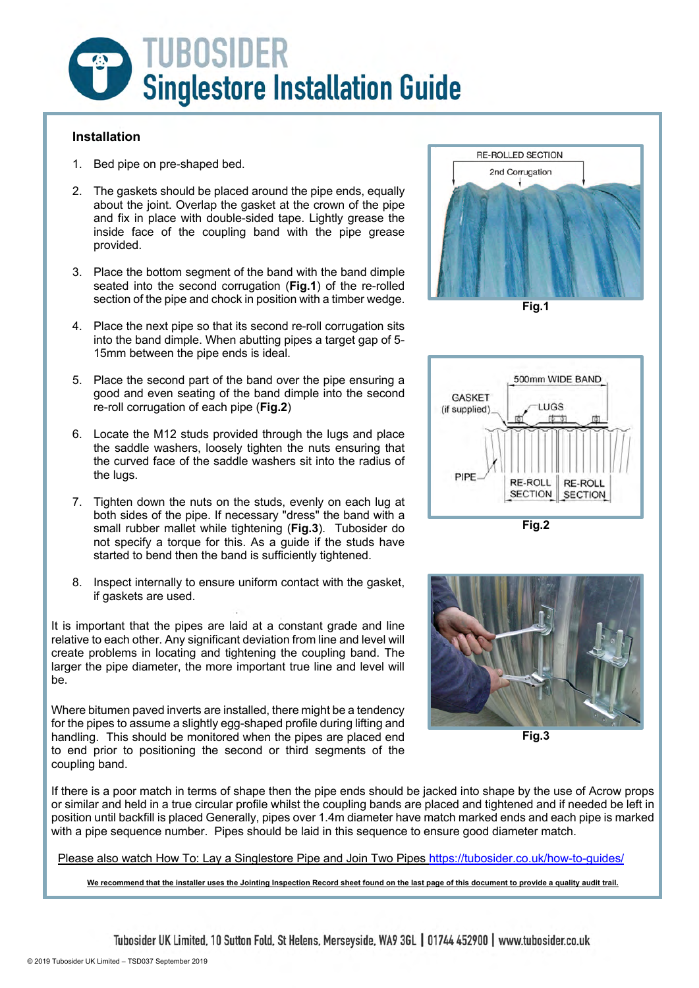

#### **Installation**

- 1. Bed pipe on pre-shaped bed.
- 2. The gaskets should be placed around the pipe ends, equally about the joint. Overlap the gasket at the crown of the pipe and fix in place with double-sided tape. Lightly grease the inside face of the coupling band with the pipe grease provided.
- 3. Place the bottom segment of the band with the band dimple seated into the second corrugation (**Fig.1**) of the re-rolled section of the pipe and chock in position with a timber wedge.
- 4. Place the next pipe so that its second re-roll corrugation sits into the band dimple. When abutting pipes a target gap of 5- 15mm between the pipe ends is ideal.
- 5. Place the second part of the band over the pipe ensuring a good and even seating of the band dimple into the second re-roll corrugation of each pipe (**Fig.2**)
- 6. Locate the M12 studs provided through the lugs and place the saddle washers, loosely tighten the nuts ensuring that the curved face of the saddle washers sit into the radius of the lugs.
- 7. Tighten down the nuts on the studs, evenly on each lug at both sides of the pipe. If necessary "dress" the band with a small rubber mallet while tightening (**Fig.3**). Tubosider do not specify a torque for this. As a guide if the studs have started to bend then the band is sufficiently tightened.
- 8. Inspect internally to ensure uniform contact with the gasket, if gaskets are used.

It is important that the pipes are laid at a constant grade and line relative to each other. Any significant deviation from line and level will create problems in locating and tightening the coupling band. The larger the pipe diameter, the more important true line and level will be.

Where bitumen paved inverts are installed, there might be a tendency for the pipes to assume a slightly egg-shaped profile during lifting and handling. This should be monitored when the pipes are placed end to end prior to positioning the second or third segments of the coupling band.







**Fig.2**



**Fig.3**

If there is a poor match in terms of shape then the pipe ends should be jacked into shape by the use of Acrow props or similar and held in a true circular profile whilst the coupling bands are placed and tightened and if needed be left in position until backfill is placed Generally, pipes over 1.4m diameter have match marked ends and each pipe is marked with a pipe sequence number. Pipes should be laid in this sequence to ensure good diameter match.

Please also watch How To: Lay a Singlestore Pipe and Join Two Pipes https://tubosider.co.uk/how-to-guides/

**We recommend that the installer uses the Jointing Inspection Record sheet found on the last page of this document to provide a quality audit trail.**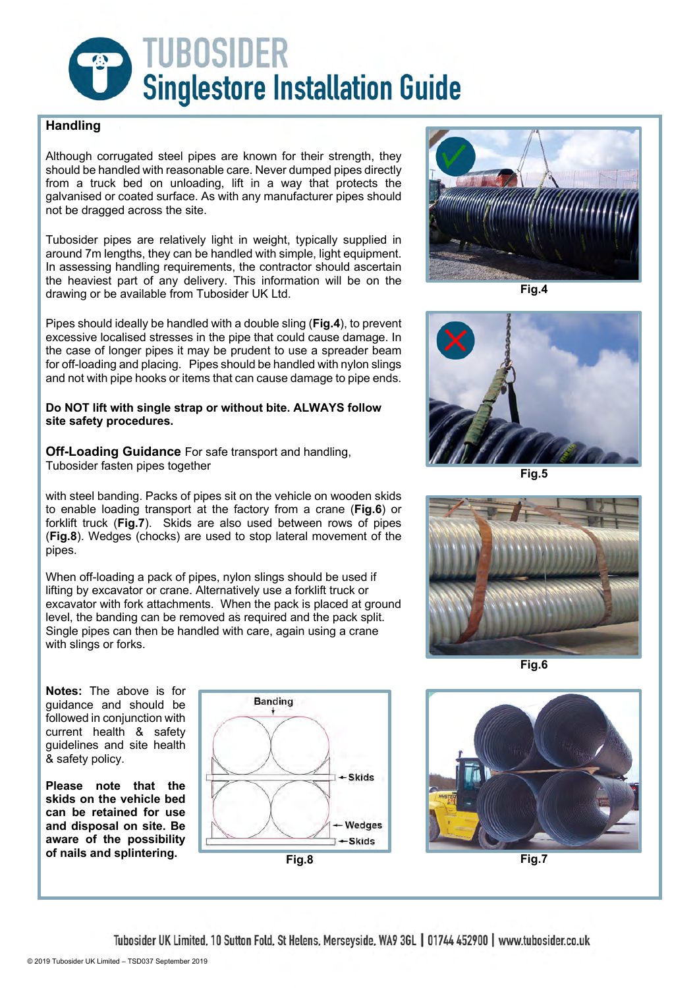

## **Handling**

Although corrugated steel pipes are known for their strength, they should be handled with reasonable care. Never dumped pipes directly from a truck bed on unloading, lift in a way that protects the galvanised or coated surface. As with any manufacturer pipes should not be dragged across the site.

Tubosider pipes are relatively light in weight, typically supplied in around 7m lengths, they can be handled with simple, light equipment. In assessing handling requirements, the contractor should ascertain the heaviest part of any delivery. This information will be on the drawing or be available from Tubosider UK Ltd.

Pipes should ideally be handled with a double sling (**Fig.4**), to prevent excessive localised stresses in the pipe that could cause damage. In the case of longer pipes it may be prudent to use a spreader beam for off-loading and placing. Pipes should be handled with nylon slings and not with pipe hooks or items that can cause damage to pipe ends.

#### **Do NOT lift with single strap or without bite. ALWAYS follow site safety procedures.**

**Off-Loading Guidance** For safe transport and handling, Tubosider fasten pipes together

with steel banding. Packs of pipes sit on the vehicle on wooden skids to enable loading transport at the factory from a crane (**Fig.6**) or forklift truck (**Fig.7**). Skids are also used between rows of pipes (**Fig.8**). Wedges (chocks) are used to stop lateral movement of the pipes.

When off-loading a pack of pipes, nylon slings should be used if lifting by excavator or crane. Alternatively use a forklift truck or excavator with fork attachments. When the pack is placed at ground level, the banding can be removed as required and the pack split. Single pipes can then be handled with care, again using a crane with slings or forks.



**Fig.4**



**Fig.5**



**Fig.6**

**Notes:** The above is for guidance and should be followed in conjunction with current health & safety guidelines and site health & safety policy.

**Please note that the skids on the vehicle bed can be retained for use and disposal on site. Be aware of the possibility** 



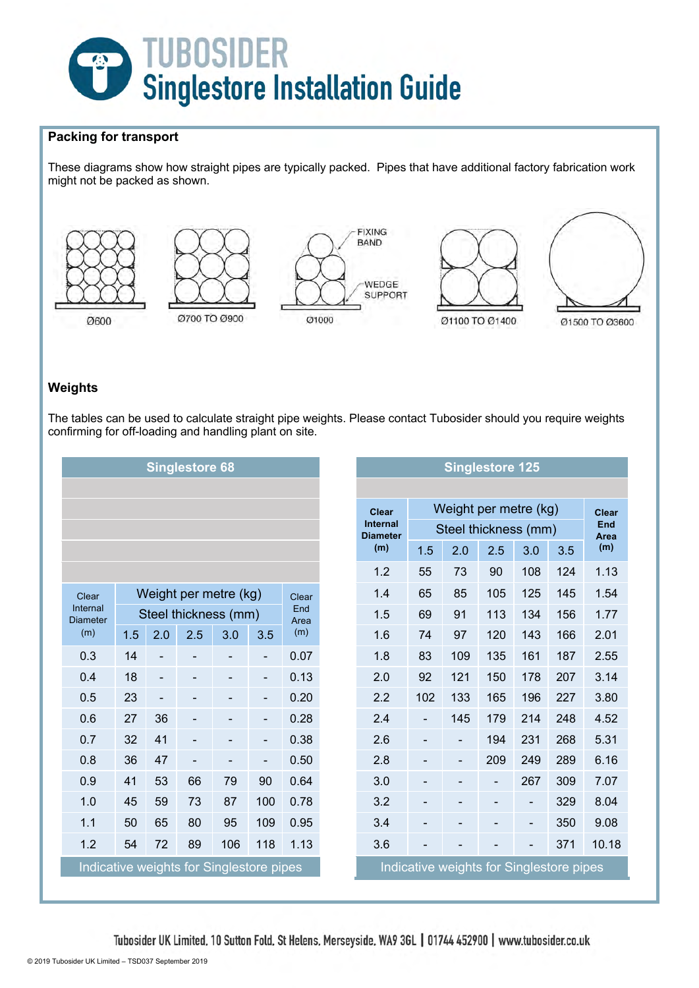

## **Packing for transport**

These diagrams show how straight pipes are typically packed. Pipes that have additional factory fabrication work might not be packed as shown.



#### **Weights**

The tables can be used to calculate straight pipe weights. Please contact Tubosider should you require weights confirming for off-loading and handling plant on site.

| <b>Singlestore 68</b>                                                                |                       |                          |     |                              |                          |      | <b>Singlestore 125</b> |                                    |                              |                              |                          |                              |      |                    |  |
|--------------------------------------------------------------------------------------|-----------------------|--------------------------|-----|------------------------------|--------------------------|------|------------------------|------------------------------------|------------------------------|------------------------------|--------------------------|------------------------------|------|--------------------|--|
|                                                                                      |                       |                          |     |                              |                          |      |                        |                                    |                              |                              |                          |                              |      |                    |  |
|                                                                                      |                       |                          |     |                              |                          |      |                        | <b>Clear</b>                       | Weight per metre (kg)        |                              |                          |                              |      | <b>Clear</b>       |  |
|                                                                                      |                       |                          |     |                              |                          |      |                        | <b>Internal</b><br><b>Diameter</b> | Steel thickness (mm)         |                              |                          |                              |      | <b>End</b><br>Area |  |
|                                                                                      |                       |                          |     |                              |                          |      |                        | (m)                                | 1.5                          | 2.0                          | 2.5                      | 3.0                          | 3.5  | (m)                |  |
|                                                                                      |                       |                          |     |                              |                          |      |                        | 1.2                                | 55                           | 73                           | 90                       | 108                          | 124  | 1.13               |  |
| Clear                                                                                | Weight per metre (kg) |                          |     |                              |                          |      |                        | 1.4                                | 65                           | 85                           | 105                      | 125                          | 145  | 1.54               |  |
| Internal<br><b>Diameter</b>                                                          | Steel thickness (mm)  |                          |     |                              | End<br>Area              |      | 1.5                    | 69                                 | 91                           | 113                          | 134                      | 156                          | 1.77 |                    |  |
| (m)                                                                                  | 1.5                   | 2.0                      | 2.5 | 3.0                          | 3.5                      | (m)  |                        | 1.6                                | 74                           | 97                           | 120                      | 143                          | 166  | 2.01               |  |
| 0.3                                                                                  | 14                    |                          |     |                              | $\overline{\phantom{a}}$ | 0.07 |                        | 1.8                                | 83                           | 109                          | 135                      | 161                          | 187  | 2.55               |  |
| 0.4                                                                                  | 18                    | $\overline{\phantom{a}}$ |     | $\qquad \qquad \blacksquare$ | $\overline{\phantom{a}}$ | 0.13 |                        | 2.0                                | 92                           | 121                          | 150                      | 178                          | 207  | 3.14               |  |
| 0.5                                                                                  | 23                    | $\overline{\phantom{0}}$ |     | $\overline{\phantom{0}}$     | $\overline{\phantom{a}}$ | 0.20 |                        | 2.2                                | 102                          | 133                          | 165                      | 196                          | 227  | 3.80               |  |
| 0.6                                                                                  | 27                    | 36                       |     |                              | -                        | 0.28 |                        | 2.4                                | $\overline{\phantom{0}}$     | 145                          | 179                      | 214                          | 248  | 4.52               |  |
| 0.7                                                                                  | 32                    | 41                       |     | $\qquad \qquad \blacksquare$ | $\overline{\phantom{a}}$ | 0.38 |                        | 2.6                                | $\qquad \qquad \blacksquare$ | $\qquad \qquad \blacksquare$ | 194                      | 231                          | 268  | 5.31               |  |
| 0.8                                                                                  | 36                    | 47                       |     |                              | $\overline{\phantom{0}}$ | 0.50 |                        | 2.8                                |                              | $\qquad \qquad \blacksquare$ | 209                      | 249                          | 289  | 6.16               |  |
| 0.9                                                                                  | 41                    | 53                       | 66  | 79                           | 90                       | 0.64 |                        | 3.0                                |                              |                              | $\overline{\phantom{0}}$ | 267                          | 309  | 7.07               |  |
| 1.0                                                                                  | 45                    | 59                       | 73  | 87                           | 100                      | 0.78 |                        | 3.2                                |                              |                              |                          | $\qquad \qquad \blacksquare$ | 329  | 8.04               |  |
| 1.1                                                                                  | 50                    | 65                       | 80  | 95                           | 109                      | 0.95 |                        | 3.4                                |                              |                              |                          | $\qquad \qquad \blacksquare$ | 350  | 9.08               |  |
| 1.2                                                                                  | 54                    | 72                       | 89  | 106                          | 118                      | 1.13 |                        | 3.6                                |                              |                              |                          | $\overline{a}$               | 371  | 10.18              |  |
| Indicative weights for Singlestore pipes<br>Indicative weights for Singlestore pipes |                       |                          |     |                              |                          |      |                        |                                    |                              |                              |                          |                              |      |                    |  |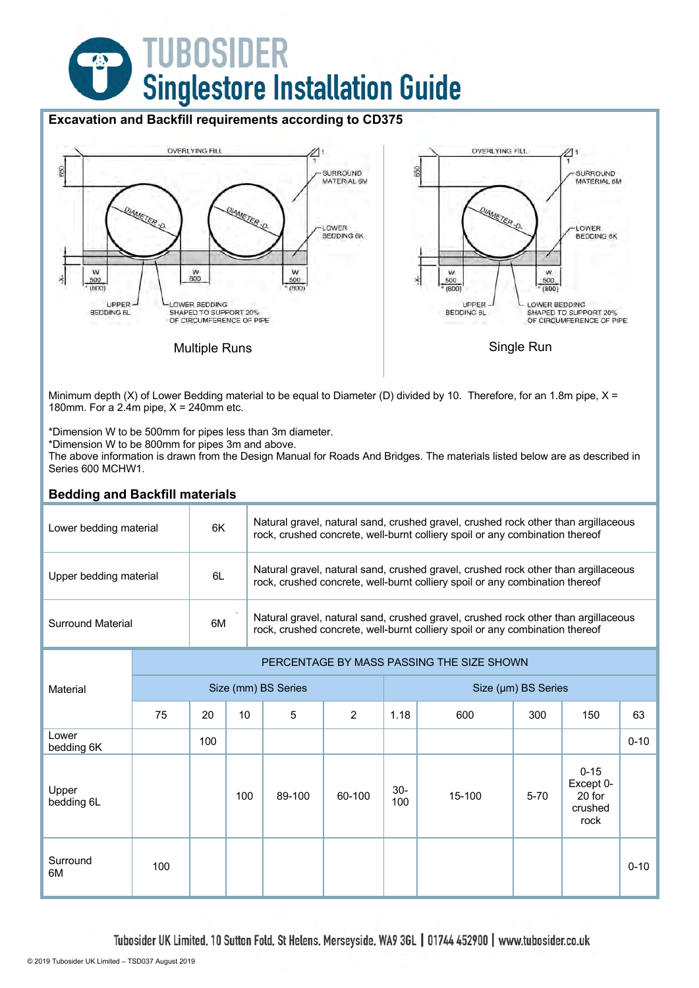# **TUBOSIDER<br>Singlestore Installation Guide**  $\overline{G}$

## **Excavation and Backfill requirements according to CD375**



Minimum depth (X) of Lower Bedding material to be equal to Diameter (D) divided by 10. Therefore, for an 1.8m pipe,  $X =$ 180mm. For a 2.4m pipe,  $X = 240$ mm etc.

\*Dimension W to be 500mm for pipes less than 3m diameter.

\*Dimension W to be 800mm for pipes 3m and above.

The above information is drawn from the Design Manual for Roads And Bridges. The materials listed below are as described in Series 600 MCHW1.

| <b>Bedding and Backfill materials</b> |     |                                           |                                                                                                                                                                    |                     |                                                                                                                                                                    |                     |        |          |                                                    |          |  |  |  |
|---------------------------------------|-----|-------------------------------------------|--------------------------------------------------------------------------------------------------------------------------------------------------------------------|---------------------|--------------------------------------------------------------------------------------------------------------------------------------------------------------------|---------------------|--------|----------|----------------------------------------------------|----------|--|--|--|
| Lower bedding material                | 6K  |                                           | Natural gravel, natural sand, crushed gravel, crushed rock other than argillaceous<br>rock, crushed concrete, well-burnt colliery spoil or any combination thereof |                     |                                                                                                                                                                    |                     |        |          |                                                    |          |  |  |  |
| Upper bedding material                | 6L  |                                           |                                                                                                                                                                    |                     | Natural gravel, natural sand, crushed gravel, crushed rock other than argillaceous<br>rock, crushed concrete, well-burnt colliery spoil or any combination thereof |                     |        |          |                                                    |          |  |  |  |
| <b>Surround Material</b>              | 6M  |                                           | Natural gravel, natural sand, crushed gravel, crushed rock other than argillaceous<br>rock, crushed concrete, well-burnt colliery spoil or any combination thereof |                     |                                                                                                                                                                    |                     |        |          |                                                    |          |  |  |  |
|                                       |     | PERCENTAGE BY MASS PASSING THE SIZE SHOWN |                                                                                                                                                                    |                     |                                                                                                                                                                    |                     |        |          |                                                    |          |  |  |  |
| Material                              |     |                                           |                                                                                                                                                                    | Size (mm) BS Series |                                                                                                                                                                    | Size (µm) BS Series |        |          |                                                    |          |  |  |  |
|                                       | 75  | 20                                        | 10                                                                                                                                                                 | 5                   | $\overline{2}$                                                                                                                                                     | 1.18                | 600    | 300      | 150                                                | 63       |  |  |  |
| Lower<br>bedding 6K                   |     | 100                                       |                                                                                                                                                                    |                     |                                                                                                                                                                    |                     |        |          |                                                    | $0 - 10$ |  |  |  |
| Upper<br>bedding 6L                   |     |                                           | 100                                                                                                                                                                | 89-100              | 60-100                                                                                                                                                             | $30-$<br>100        | 15-100 | $5 - 70$ | $0 - 15$<br>Except 0-<br>20 for<br>crushed<br>rock |          |  |  |  |
| Surround<br>6M                        | 100 |                                           |                                                                                                                                                                    |                     |                                                                                                                                                                    |                     |        |          |                                                    | $0 - 10$ |  |  |  |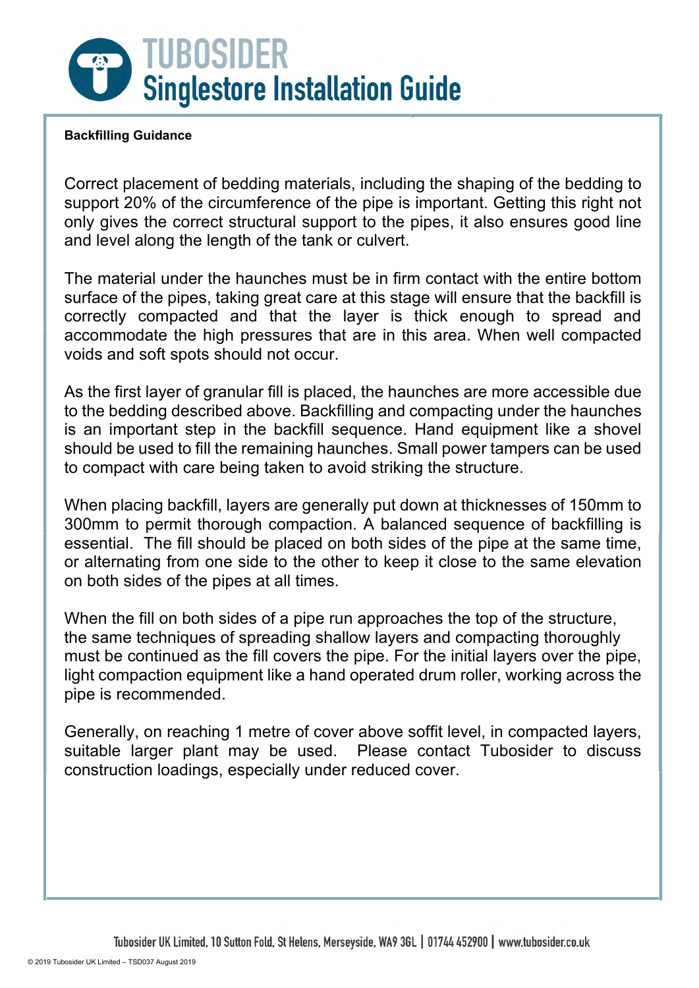

# **Backfilling Guidance**

Correct placement of bedding materials, including the shaping of the bedding to support 20% of the circumference of the pipe is important. Getting this right not only gives the correct structural support to the pipes, it also ensures good line and level along the length of the tank or culvert.

The material under the haunches must be in firm contact with the entire bottom surface of the pipes, taking great care at this stage will ensure that the backfill is correctly compacted and that the layer is thick enough to spread and accommodate the high pressures that are in this area. When well compacted voids and soft spots should not occur.

As the first layer of granular fill is placed, the haunches are more accessible due to the bedding described above. Backfilling and compacting under the haunches is an important step in the backfill sequence. Hand equipment like a shovel should be used to fill the remaining haunches. Small power tampers can be used to compact with care being taken to avoid striking the structure.

When placing backfill, layers are generally put down at thicknesses of 150mm to 300mm to permit thorough compaction. A balanced sequence of backfilling is essential. The fill should be placed on both sides of the pipe at the same time, or alternating from one side to the other to keep it close to the same elevation on both sides of the pipes at all times.

When the fill on both sides of a pipe run approaches the top of the structure, the same techniques of spreading shallow layers and compacting thoroughly must be continued as the fill covers the pipe. For the initial layers over the pipe, light compaction equipment like a hand operated drum roller, working across the pipe is recommended.

Generally, on reaching 1 metre of cover above soffit level, in compacted layers, suitable larger plant may be used. Please contact Tubosider to discuss construction loadings, especially under reduced cover.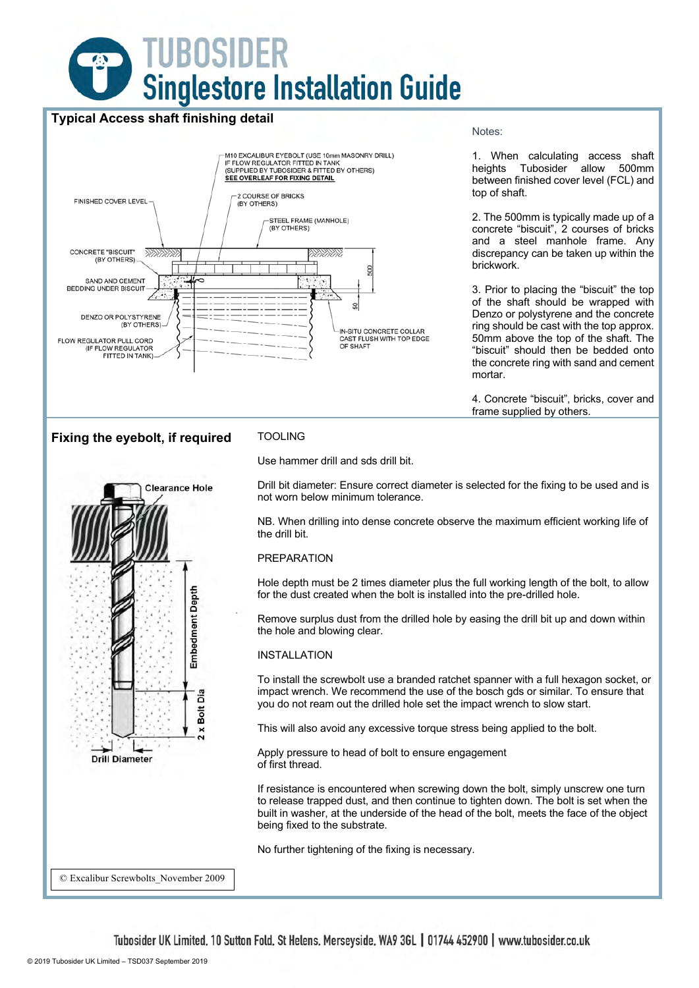

# **Typical Access shaft finishing detail**



#### Notes:

1. When calculating access shaft heights Tubosider allow 500mm between finished cover level (FCL) and top of shaft.

2. The 500mm is typically made up of a concrete "biscuit", 2 courses of bricks and a steel manhole frame. Any discrepancy can be taken up within the brickwork.

3. Prior to placing the "biscuit" the top of the shaft should be wrapped with Denzo or polystyrene and the concrete ring should be cast with the top approx. 50mm above the top of the shaft. The "biscuit" should then be bedded onto the concrete ring with sand and cement mortar.

4. Concrete "biscuit", bricks, cover and frame supplied by others.

## **Fixing the eyebolt, if required** TOOLING



Use hammer drill and sds drill bit.

Drill bit diameter: Ensure correct diameter is selected for the fixing to be used and is not worn below minimum tolerance.

NB. When drilling into dense concrete observe the maximum efficient working life of the drill bit.

#### PREPARATION

Hole depth must be 2 times diameter plus the full working length of the bolt, to allow for the dust created when the bolt is installed into the pre-drilled hole.

Remove surplus dust from the drilled hole by easing the drill bit up and down within the hole and blowing clear.

#### INSTALLATION

To install the screwbolt use a branded ratchet spanner with a full hexagon socket, or impact wrench. We recommend the use of the bosch gds or similar. To ensure that you do not ream out the drilled hole set the impact wrench to slow start.

This will also avoid any excessive torque stress being applied to the bolt.

Apply pressure to head of bolt to ensure engagement of first thread.

If resistance is encountered when screwing down the bolt, simply unscrew one turn to release trapped dust, and then continue to tighten down. The bolt is set when the built in washer, at the underside of the head of the bolt, meets the face of the object being fixed to the substrate.

No further tightening of the fixing is necessary.

© Excalibur Screwbolts\_November 2009